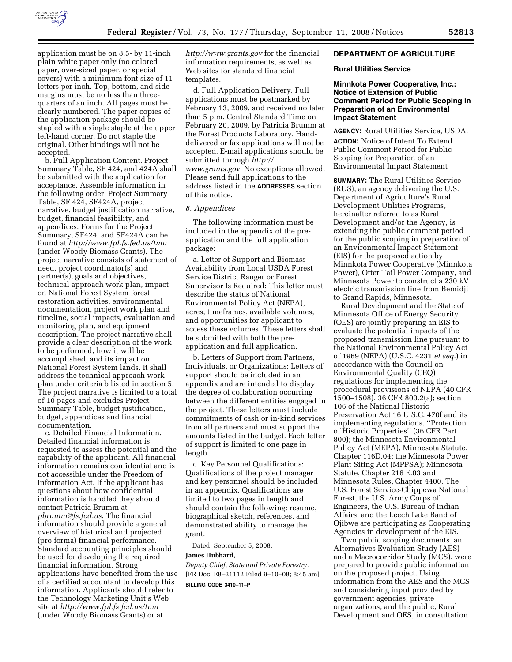

application must be on 8.5- by 11-inch plain white paper only (no colored paper, over-sized paper, or special covers) with a minimum font size of 11 letters per inch. Top, bottom, and side margins must be no less than threequarters of an inch. All pages must be clearly numbered. The paper copies of the application package should be stapled with a single staple at the upper left-hand corner. Do not staple the original. Other bindings will not be accepted.

b. Full Application Content. Project Summary Table, SF 424, and 424A shall be submitted with the application for acceptance. Assemble information in the following order: Project Summary Table, SF 424, SF424A, project narrative, budget justification narrative, budget, financial feasibility, and appendices. Forms for the Project Summary, SF424, and SF424A can be found at *http://www.fpl.fs.fed.us/tmu*  (under Woody Biomass Grants). The project narrative consists of statement of need, project coordinator(s) and partner(s), goals and objectives, technical approach work plan, impact on National Forest System forest restoration activities, environmental documentation, project work plan and timeline, social impacts, evaluation and monitoring plan, and equipment description. The project narrative shall provide a clear description of the work to be performed, how it will be accomplished, and its impact on National Forest System lands. It shall address the technical approach work plan under criteria b listed in section 5. The project narrative is limited to a total of 10 pages and excludes Project Summary Table, budget justification, budget, appendices and financial documentation.

c. Detailed Financial Information. Detailed financial information is requested to assess the potential and the capability of the applicant. All financial information remains confidential and is not accessible under the Freedom of Information Act. If the applicant has questions about how confidential information is handled they should contact Patricia Brumm at *pbrumm@fs.fed.us*. The financial information should provide a general overview of historical and projected (pro forma) financial performance. Standard accounting principles should be used for developing the required financial information. Strong applications have benefited from the use of a certified accountant to develop this information. Applicants should refer to the Technology Marketing Unit's Web site at *http://www.fpl.fs.fed.us/tmu*  (under Woody Biomass Grants) or at

*http://www.grants.gov* for the financial information requirements, as well as Web sites for standard financial templates.

d. Full Application Delivery. Full applications must be postmarked by February 13, 2009, and received no later than 5 p.m. Central Standard Time on February 20, 2009, by Patricia Brumm at the Forest Products Laboratory. Handdelivered or fax applications will not be accepted. E-mail applications should be submitted through *http:// www.grants.gov*. No exceptions allowed. Please send full applications to the address listed in the **ADDRESSES** section of this notice.

### *8. Appendices*

The following information must be included in the appendix of the preapplication and the full application package:

a. Letter of Support and Biomass Availability from Local USDA Forest Service District Ranger or Forest Supervisor Is Required: This letter must describe the status of National Environmental Policy Act (NEPA), acres, timeframes, available volumes, and opportunities for applicant to access these volumes. These letters shall be submitted with both the preapplication and full application.

b. Letters of Support from Partners, Individuals, or Organizations: Letters of support should be included in an appendix and are intended to display the degree of collaboration occurring between the different entities engaged in the project. These letters must include commitments of cash or in-kind services from all partners and must support the amounts listed in the budget. Each letter of support is limited to one page in length.

c. Key Personnel Qualifications: Qualifications of the project manager and key personnel should be included in an appendix. Qualifications are limited to two pages in length and should contain the following: resume, biographical sketch, references, and demonstrated ability to manage the grant.

Dated: September 5, 2008.

#### **James Hubbard,**

*Deputy Chief, State and Private Forestry.*  [FR Doc. E8–21112 Filed 9–10–08; 8:45 am] **BILLING CODE 3410–11–P** 

## **DEPARTMENT OF AGRICULTURE**

#### **Rural Utilities Service**

## **Minnkota Power Cooperative, Inc.: Notice of Extension of Public Comment Period for Public Scoping in Preparation of an Environmental Impact Statement**

**AGENCY:** Rural Utilities Service, USDA. **ACTION:** Notice of Intent To Extend Public Comment Period for Public Scoping for Preparation of an Environmental Impact Statement

**SUMMARY:** The Rural Utilities Service (RUS), an agency delivering the U.S. Department of Agriculture's Rural Development Utilities Programs, hereinafter referred to as Rural Development and/or the Agency, is extending the public comment period for the public scoping in preparation of an Environmental Impact Statement (EIS) for the proposed action by Minnkota Power Cooperative (Minnkota Power), Otter Tail Power Company, and Minnesota Power to construct a 230 kV electric transmission line from Bemidji to Grand Rapids, Minnesota.

Rural Development and the State of Minnesota Office of Energy Security (OES) are jointly preparing an EIS to evaluate the potential impacts of the proposed transmission line pursuant to the National Environmental Policy Act of 1969 (NEPA) (U.S.C. 4231 *et seq.*) in accordance with the Council on Environmental Quality (CEQ) regulations for implementing the procedural provisions of NEPA (40 CFR 1500–1508), 36 CFR 800.2(a); section 106 of the National Historic Preservation Act 16 U.S.C. 470f and its implementing regulations, ''Protection of Historic Properties'' (36 CFR Part 800); the Minnesota Environmental Policy Act (MEPA), Minnesota Statute, Chapter 116D.04; the Minnesota Power Plant Siting Act (MPPSA); Minnesota Statute, Chapter 216 E.03 and Minnesota Rules, Chapter 4400. The U.S. Forest Service-Chippewa National Forest, the U.S. Army Corps of Engineers, the U.S. Bureau of Indian Affairs, and the Leech Lake Band of Ojibwe are participating as Cooperating Agencies in development of the EIS.

Two public scoping documents, an Alternatives Evaluation Study (AES) and a Macrocorridor Study (MCS), were prepared to provide public information on the proposed project. Using information from the AES and the MCS and considering input provided by government agencies, private organizations, and the public, Rural Development and OES, in consultation